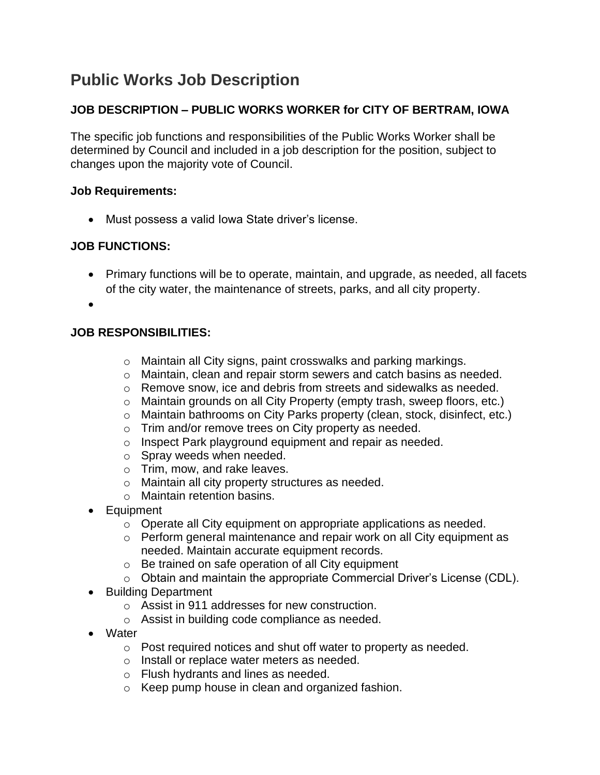# **Public Works Job Description**

# **JOB DESCRIPTION – PUBLIC WORKS WORKER for CITY OF BERTRAM, IOWA**

The specific job functions and responsibilities of the Public Works Worker shall be determined by Council and included in a job description for the position, subject to changes upon the majority vote of Council.

### **Job Requirements:**

• Must possess a valid Iowa State driver's license.

# **JOB FUNCTIONS:**

- Primary functions will be to operate, maintain, and upgrade, as needed, all facets of the city water, the maintenance of streets, parks, and all city property.
- •

# **JOB RESPONSIBILITIES:**

- o Maintain all City signs, paint crosswalks and parking markings.
- o Maintain, clean and repair storm sewers and catch basins as needed.
- o Remove snow, ice and debris from streets and sidewalks as needed.
- o Maintain grounds on all City Property (empty trash, sweep floors, etc.)
- o Maintain bathrooms on City Parks property (clean, stock, disinfect, etc.)
- o Trim and/or remove trees on City property as needed.
- o Inspect Park playground equipment and repair as needed.
- o Spray weeds when needed.
- o Trim, mow, and rake leaves.
- o Maintain all city property structures as needed.
- o Maintain retention basins.
- Equipment
	- o Operate all City equipment on appropriate applications as needed.
	- o Perform general maintenance and repair work on all City equipment as needed. Maintain accurate equipment records.
	- o Be trained on safe operation of all City equipment
	- o Obtain and maintain the appropriate Commercial Driver's License (CDL).
- Building Department
	- o Assist in 911 addresses for new construction.
	- o Assist in building code compliance as needed.
- Water
	- o Post required notices and shut off water to property as needed.
	- o Install or replace water meters as needed.
	- o Flush hydrants and lines as needed.
	- o Keep pump house in clean and organized fashion.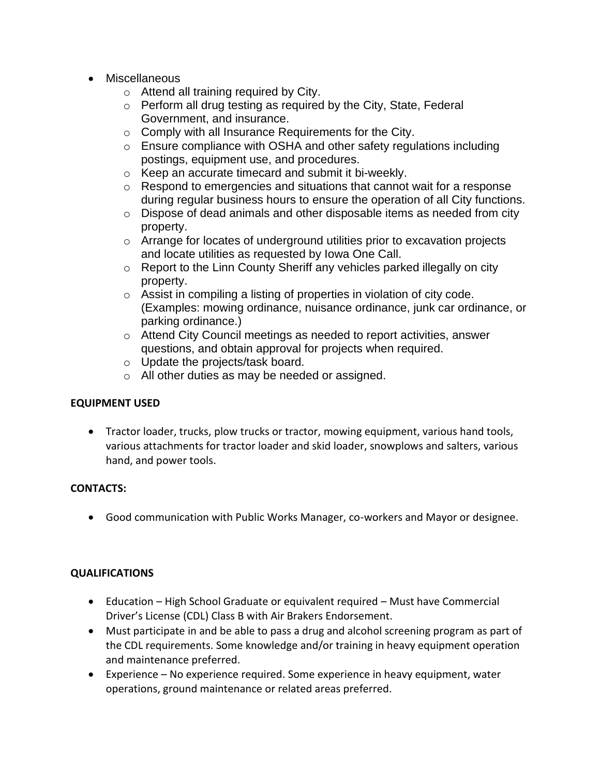- Miscellaneous
	- o Attend all training required by City.
	- o Perform all drug testing as required by the City, State, Federal Government, and insurance.
	- o Comply with all Insurance Requirements for the City.
	- o Ensure compliance with OSHA and other safety regulations including postings, equipment use, and procedures.
	- o Keep an accurate timecard and submit it bi-weekly.
	- o Respond to emergencies and situations that cannot wait for a response during regular business hours to ensure the operation of all City functions.
	- o Dispose of dead animals and other disposable items as needed from city property.
	- o Arrange for locates of underground utilities prior to excavation projects and locate utilities as requested by Iowa One Call.
	- o Report to the Linn County Sheriff any vehicles parked illegally on city property.
	- o Assist in compiling a listing of properties in violation of city code. (Examples: mowing ordinance, nuisance ordinance, junk car ordinance, or parking ordinance.)
	- o Attend City Council meetings as needed to report activities, answer questions, and obtain approval for projects when required.
	- o Update the projects/task board.
	- o All other duties as may be needed or assigned.

#### **EQUIPMENT USED**

• Tractor loader, trucks, plow trucks or tractor, mowing equipment, various hand tools, various attachments for tractor loader and skid loader, snowplows and salters, various hand, and power tools.

#### **CONTACTS:**

• Good communication with Public Works Manager, co-workers and Mayor or designee.

#### **QUALIFICATIONS**

- Education High School Graduate or equivalent required Must have Commercial Driver's License (CDL) Class B with Air Brakers Endorsement.
- Must participate in and be able to pass a drug and alcohol screening program as part of the CDL requirements. Some knowledge and/or training in heavy equipment operation and maintenance preferred.
- Experience No experience required. Some experience in heavy equipment, water operations, ground maintenance or related areas preferred.